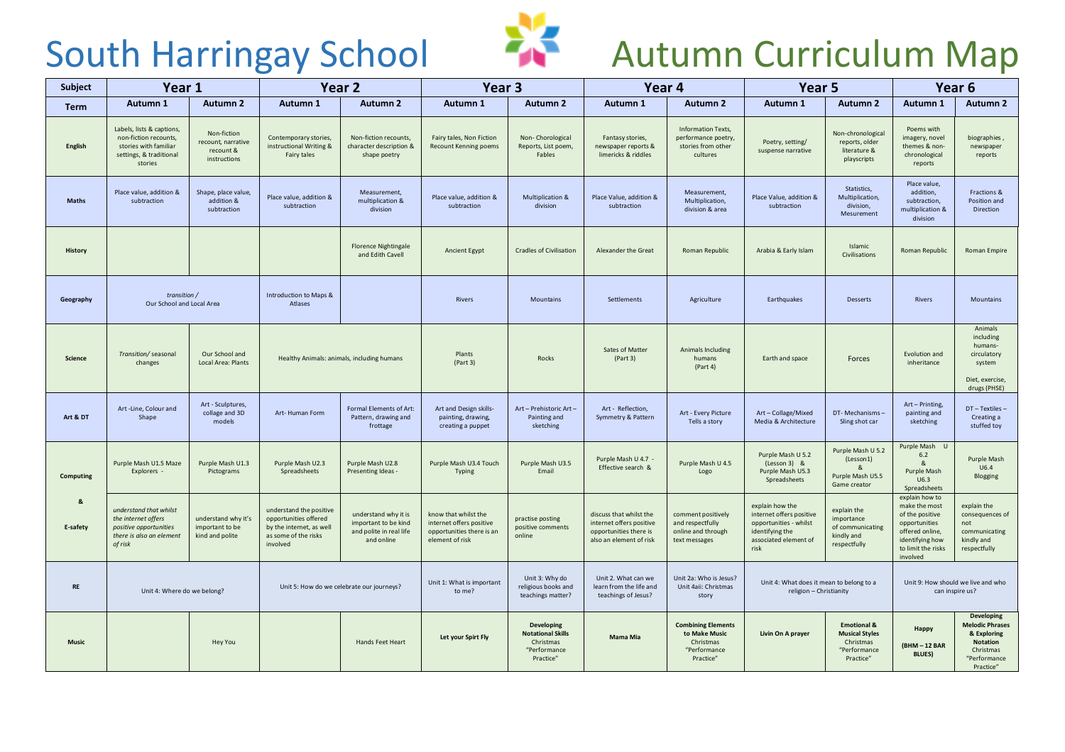

## South Harringay School **Autumn Curriculum Map**

| Subject        | Year 1                                                                                                            |                                                                | Year 2                                                                                                           |                                                                                       | Year <sub>3</sub>                                                                                |                                                                                         | Year 4                                                                                                   |                                                                                      | Year <sub>5</sub>                                                                                                         |                                                                                           | Year 6                                                                                                                                      |                                                                                                                  |
|----------------|-------------------------------------------------------------------------------------------------------------------|----------------------------------------------------------------|------------------------------------------------------------------------------------------------------------------|---------------------------------------------------------------------------------------|--------------------------------------------------------------------------------------------------|-----------------------------------------------------------------------------------------|----------------------------------------------------------------------------------------------------------|--------------------------------------------------------------------------------------|---------------------------------------------------------------------------------------------------------------------------|-------------------------------------------------------------------------------------------|---------------------------------------------------------------------------------------------------------------------------------------------|------------------------------------------------------------------------------------------------------------------|
| <b>Term</b>    | Autumn 1                                                                                                          | <b>Autumn 2</b>                                                | Autumn 1                                                                                                         | <b>Autumn 2</b>                                                                       | Autumn 1                                                                                         | <b>Autumn 2</b>                                                                         | Autumn 1                                                                                                 | <b>Autumn 2</b>                                                                      | Autumn 1                                                                                                                  | <b>Autumn 2</b>                                                                           | Autumn 1                                                                                                                                    | <b>Autumn 2</b>                                                                                                  |
| English        | Labels, lists & captions,<br>non-fiction recounts,<br>stories with familiar<br>settings, & traditional<br>stories | Non-fiction<br>recount, narrative<br>recount &<br>instructions | Contemporary stories,<br>instructional Writing &<br>Fairy tales                                                  | Non-fiction recounts,<br>character description &<br>shape poetry                      | Fairy tales, Non Fiction<br><b>Recount Kenning poems</b>                                         | Non-Chorological<br>Reports, List poem,<br>Fables                                       | Fantasy stories,<br>newspaper reports &<br>limericks & riddles                                           | Information Texts,<br>performance poetry,<br>stories from other<br>cultures          | Poetry, setting/<br>suspense narrative                                                                                    | Non-chronological<br>reports, older<br>literature &<br>playscripts                        | Poems with<br>imagery, novel<br>themes & non-<br>chronological<br>reports                                                                   | biographies<br>newspaper<br>reports                                                                              |
| <b>Maths</b>   | Place value, addition &<br>subtraction                                                                            | Shape, place value,<br>addition &<br>subtraction               | Place value, addition &<br>subtraction                                                                           | Measurement,<br>multiplication &<br>division                                          | Place value, addition &<br>subtraction                                                           | Multiplication &<br>division                                                            | Place Value, addition &<br>subtraction                                                                   | Measurement,<br>Multiplication,<br>division & area                                   | Place Value, addition &<br>subtraction                                                                                    | Statistics,<br>Multiplication,<br>division,<br>Mesurement                                 | Place value,<br>addition,<br>subtraction,<br>multiplication &<br>division                                                                   | Fractions &<br>Position and<br>Direction                                                                         |
| <b>History</b> |                                                                                                                   |                                                                |                                                                                                                  | <b>Florence Nightingale</b><br>and Edith Cavell                                       | Ancient Egypt                                                                                    | <b>Cradles of Civilisation</b>                                                          | Alexander the Great                                                                                      | Roman Republic                                                                       | Arabia & Early Islam                                                                                                      | Islamic<br>Civilisations                                                                  | Roman Republic                                                                                                                              | Roman Empire                                                                                                     |
| Geography      | transition /<br>Our School and Local Area                                                                         |                                                                | Introduction to Maps &<br>Atlases                                                                                |                                                                                       | Rivers                                                                                           | Mountains                                                                               | Settlements                                                                                              | Agriculture                                                                          | Earthquakes                                                                                                               | Desserts                                                                                  | Rivers                                                                                                                                      | Mountains                                                                                                        |
| Science        | Our School and<br>Transition/ seasonal<br>Local Area: Plants<br>changes                                           |                                                                | Healthy Animals: animals, including humans                                                                       |                                                                                       | Plants<br>(Part 3)                                                                               | Rocks                                                                                   | Sates of Matter<br>(Part 3)                                                                              | Animals Including<br>humans<br>(Part 4)                                              | Earth and space                                                                                                           | Forces                                                                                    | Evolution and<br>inheritance                                                                                                                | Animals<br>including<br>humans-<br>circulatory<br>system<br>Diet, exercise,<br>drugs (PHSE)                      |
| Art & DT       | Art -Line, Colour and<br>Shape                                                                                    | Art - Sculptures,<br>collage and 3D<br>models                  | Art-Human Form                                                                                                   | Formal Elements of Art:<br>Pattern, drawing and<br>frottage                           | Art and Design skills-<br>painting, drawing,<br>creating a puppet                                | Art - Prehistoric Art -<br>Painting and<br>sketching                                    | Art - Reflection,<br>Symmetry & Pattern                                                                  | Art - Every Picture<br>Tells a story                                                 | Art-Collage/Mixed<br>Media & Architecture                                                                                 | DT-Mechanisms-<br>Sling shot car                                                          | Art - Printing,<br>painting and<br>sketching                                                                                                | $DT - Textiles -$<br>Creating a<br>stuffed toy                                                                   |
| Computing      | Purple Mash U1.5 Maze<br>Explorers -                                                                              | Purple Mash U1.3<br>Pictograms                                 | Purple Mash U2.3<br>Spreadsheets                                                                                 | Purple Mash U2.8<br>Presenting Ideas -                                                | Purple Mash U3.4 Touch<br>Typing                                                                 | Purple Mash U3.5<br>Email                                                               | Purple Mash U 4.7 -<br>Effective search &                                                                | Purple Mash U 4.5<br>Logo                                                            | Purple Mash U 5.2<br>$(Lesson 3)$ &<br>Purple Mash U5.3<br>Spreadsheets                                                   | Purple Mash U 5.2<br>(Lesson1)<br>Purple Mash U5.5<br>Game creator                        | Purple Mash U<br>6.2<br>$\alpha$<br>Purple Mash<br>U6.3<br>Spreadsheets                                                                     | Purple Mash<br>U6.4<br>Blogging                                                                                  |
| 8<br>E-safety  | understand that whilst<br>the internet offers<br>positive opportunities<br>there is also an element<br>of risk    | understand why it's<br>important to be<br>kind and polite      | understand the positive<br>opportunities offered<br>by the internet, as well<br>as some of the risks<br>involved | understand why it is<br>important to be kind<br>and polite in real life<br>and online | know that whilst the<br>internet offers positive<br>opportunities there is an<br>element of risk | practise posting<br>positive comments<br>online                                         | discuss that whilst the<br>internet offers positive<br>opportunities there is<br>also an element of risk | comment positively<br>and respectfully<br>online and through<br>text messages        | explain how the<br>internet offers positive<br>opportunities - whilst<br>identifying the<br>associated element of<br>risk | explain the<br>importance<br>of communicating<br>kindly and<br>respectfully               | explain how to<br>make the most<br>of the positive<br>opportunities<br>offered online,<br>identifying how<br>to limit the risks<br>involved | explain the<br>consequences of<br>not<br>communicating<br>kindly and<br>respectfully                             |
| <b>RE</b>      | Unit 4: Where do we belong?                                                                                       |                                                                | Unit 5: How do we celebrate our journeys?                                                                        |                                                                                       | Unit 1: What is important<br>to me?                                                              | Unit 3: Why do<br>religious books and<br>teachings matter?                              | Unit 2. What can we<br>learn from the life and<br>teachings of Jesus?                                    | Unit 2a: Who is Jesus?<br>Unit 4aii: Christmas<br>story                              | Unit 4: What does it mean to belong to a<br>religion - Christianity                                                       |                                                                                           | Unit 9: How should we live and who<br>can inspire us?                                                                                       |                                                                                                                  |
| <b>Music</b>   |                                                                                                                   | <b>Hey You</b>                                                 |                                                                                                                  | Hands Feet Heart                                                                      | Let your Spirt Fly                                                                               | <b>Developing</b><br><b>Notational Skills</b><br>Christmas<br>"Performance<br>Practice" | <b>Mama Mia</b>                                                                                          | <b>Combining Elements</b><br>to Make Music<br>Christmas<br>"Performance<br>Practice" | Livin On A prayer                                                                                                         | <b>Emotional &amp;</b><br><b>Musical Styles</b><br>Christmas<br>"Performance<br>Practice" | Happy<br>(BHM-12 BAR<br><b>BLUES)</b>                                                                                                       | Developing<br><b>Melodic Phrases</b><br>& Exploring<br><b>Notation</b><br>Christmas<br>"Performance<br>Practice" |